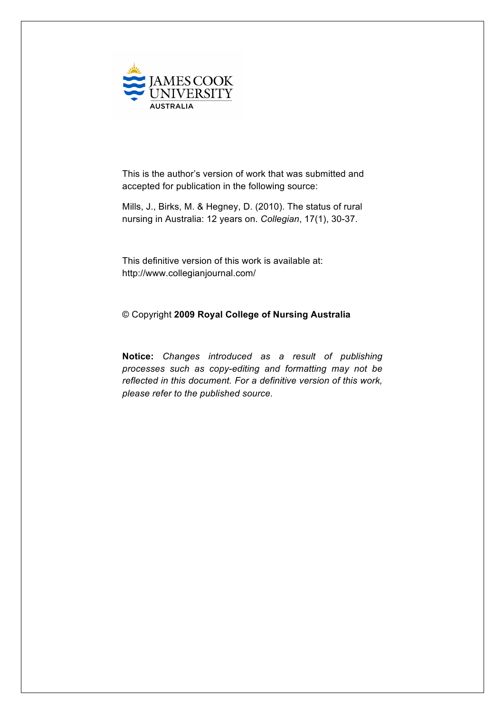

This is the author's version of work that was submitted and accepted for publication in the following source:

Mills, J., Birks, M. & Hegney, D. (2010). The status of rural nursing in Australia: 12 years on. *Collegian*, 17(1), 30-37.

This definitive version of this work is available at: http://www.collegianjournal.com/

# © Copyright **2009 Royal College of Nursing Australia**

**Notice:** *Changes introduced as a result of publishing processes such as copy-editing and formatting may not be reflected in this document. For a definitive version of this work, please refer to the published source.*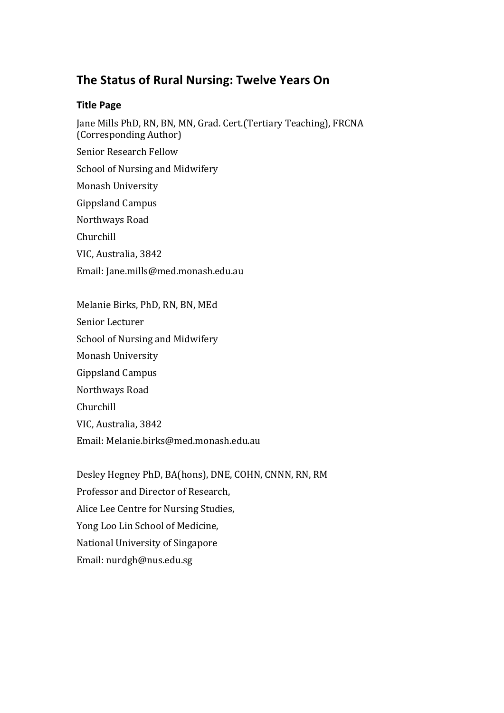# **The Status of Rural Nursing: Twelve Years On**

# **Title Page**

Jane Mills PhD, RN, BN, MN, Grad. Cert.(Tertiary Teaching), FRCNA (Corresponding Author) Senior Research Fellow School of Nursing and Midwifery Monash University Gippsland Campus Northways Road Churchill VIC, Australia, 3842 Email: Jane.mills@med.monash.edu.au Melanie Birks, PhD, RN, BN, MEd Senior Lecturer

Desley Hegney PhD, BA(hons), DNE, COHN, CNNN, RN, RM Professor and Director of Research, Alice Lee Centre for Nursing Studies, Yong Loo Lin School of Medicine, National University of Singapore Email: nurdgh@nus.edu.sg

School of Nursing and Midwifery

Email: Melanie.birks@med.monash.edu.au

Monash University

Gippsland Campus

VIC, Australia, 3842

Northways Road

Churchill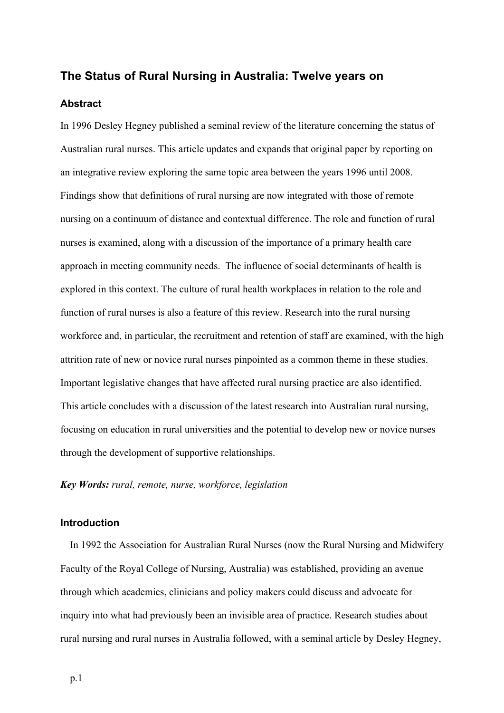## **The Status of Rural Nursing in Australia: Twelve years on**

#### **Abstract**

In 1996 Desley Hegney published a seminal review of the literature concerning the status of Australian rural nurses. This article updates and expands that original paper by reporting on an integrative review exploring the same topic area between the years 1996 until 2008. Findings show that definitions of rural nursing are now integrated with those of remote nursing on a continuum of distance and contextual difference. The role and function of rural nurses is examined, along with a discussion of the importance of a primary health care approach in meeting community needs. The influence of social determinants of health is explored in this context. The culture of rural health workplaces in relation to the role and function of rural nurses is also a feature of this review. Research into the rural nursing workforce and, in particular, the recruitment and retention of staff are examined, with the high attrition rate of new or novice rural nurses pinpointed as a common theme in these studies. Important legislative changes that have affected rural nursing practice are also identified. This article concludes with a discussion of the latest research into Australian rural nursing, focusing on education in rural universities and the potential to develop new or novice nurses through the development of supportive relationships.

*Key Words: rural, remote, nurse, workforce, legislation*

## **Introduction**

In 1992 the Association for Australian Rural Nurses (now the Rural Nursing and Midwifery Faculty of the Royal College of Nursing, Australia) was established, providing an avenue through which academics, clinicians and policy makers could discuss and advocate for inquiry into what had previously been an invisible area of practice. Research studies about rural nursing and rural nurses in Australia followed, with a seminal article by Desley Hegney,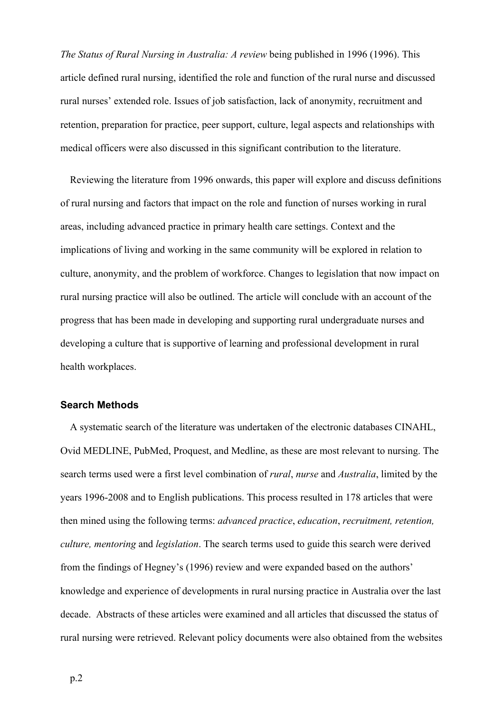*The Status of Rural Nursing in Australia: A review* being published in 1996 (1996). This article defined rural nursing, identified the role and function of the rural nurse and discussed rural nurses' extended role. Issues of job satisfaction, lack of anonymity, recruitment and retention, preparation for practice, peer support, culture, legal aspects and relationships with medical officers were also discussed in this significant contribution to the literature.

Reviewing the literature from 1996 onwards, this paper will explore and discuss definitions of rural nursing and factors that impact on the role and function of nurses working in rural areas, including advanced practice in primary health care settings. Context and the implications of living and working in the same community will be explored in relation to culture, anonymity, and the problem of workforce. Changes to legislation that now impact on rural nursing practice will also be outlined. The article will conclude with an account of the progress that has been made in developing and supporting rural undergraduate nurses and developing a culture that is supportive of learning and professional development in rural health workplaces.

# **Search Methods**

A systematic search of the literature was undertaken of the electronic databases CINAHL, Ovid MEDLINE, PubMed, Proquest, and Medline, as these are most relevant to nursing. The search terms used were a first level combination of *rural*, *nurse* and *Australia*, limited by the years 1996-2008 and to English publications. This process resulted in 178 articles that were then mined using the following terms: *advanced practice*, *education*, *recruitment, retention, culture, mentoring* and *legislation*. The search terms used to guide this search were derived from the findings of Hegney's (1996) review and were expanded based on the authors' knowledge and experience of developments in rural nursing practice in Australia over the last decade. Abstracts of these articles were examined and all articles that discussed the status of rural nursing were retrieved. Relevant policy documents were also obtained from the websites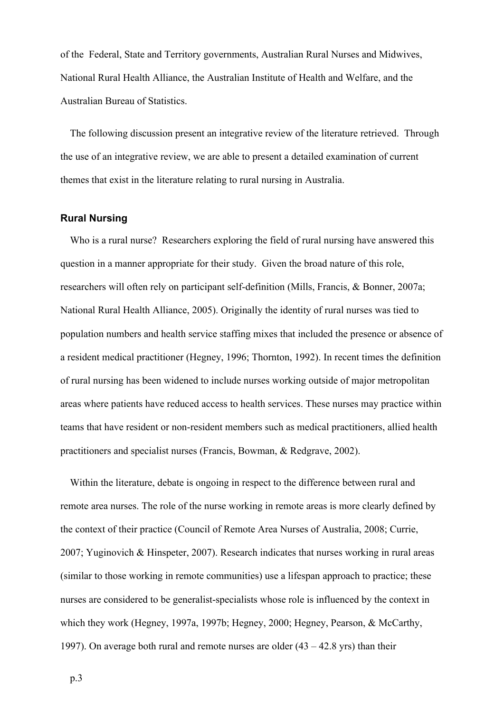of the Federal, State and Territory governments, Australian Rural Nurses and Midwives, National Rural Health Alliance, the Australian Institute of Health and Welfare, and the Australian Bureau of Statistics.

The following discussion present an integrative review of the literature retrieved. Through the use of an integrative review, we are able to present a detailed examination of current themes that exist in the literature relating to rural nursing in Australia.

# **Rural Nursing**

Who is a rural nurse? Researchers exploring the field of rural nursing have answered this question in a manner appropriate for their study. Given the broad nature of this role, researchers will often rely on participant self-definition (Mills, Francis, & Bonner, 2007a; National Rural Health Alliance, 2005). Originally the identity of rural nurses was tied to population numbers and health service staffing mixes that included the presence or absence of a resident medical practitioner (Hegney, 1996; Thornton, 1992). In recent times the definition of rural nursing has been widened to include nurses working outside of major metropolitan areas where patients have reduced access to health services. These nurses may practice within teams that have resident or non-resident members such as medical practitioners, allied health practitioners and specialist nurses (Francis, Bowman, & Redgrave, 2002).

Within the literature, debate is ongoing in respect to the difference between rural and remote area nurses. The role of the nurse working in remote areas is more clearly defined by the context of their practice (Council of Remote Area Nurses of Australia, 2008; Currie, 2007; Yuginovich & Hinspeter, 2007). Research indicates that nurses working in rural areas (similar to those working in remote communities) use a lifespan approach to practice; these nurses are considered to be generalist-specialists whose role is influenced by the context in which they work (Hegney, 1997a, 1997b; Hegney, 2000; Hegney, Pearson, & McCarthy, 1997). On average both rural and remote nurses are older (43 – 42.8 yrs) than their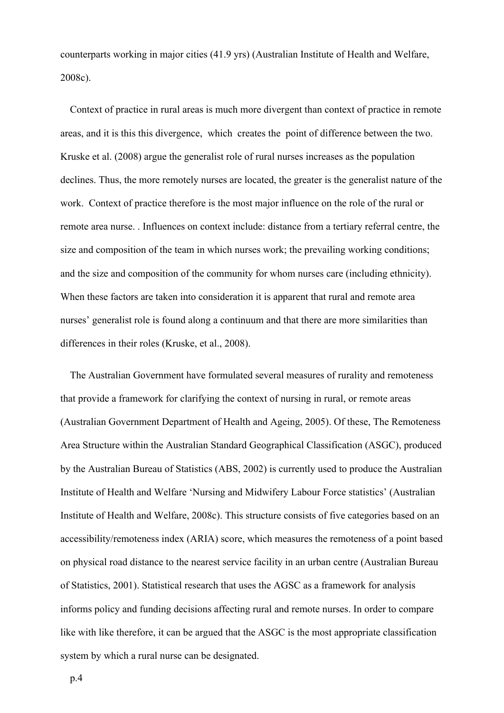counterparts working in major cities (41.9 yrs) (Australian Institute of Health and Welfare, 2008c).

Context of practice in rural areas is much more divergent than context of practice in remote areas, and it is this this divergence, which creates the point of difference between the two. Kruske et al. (2008) argue the generalist role of rural nurses increases as the population declines. Thus, the more remotely nurses are located, the greater is the generalist nature of the work. Context of practice therefore is the most major influence on the role of the rural or remote area nurse. . Influences on context include: distance from a tertiary referral centre, the size and composition of the team in which nurses work; the prevailing working conditions; and the size and composition of the community for whom nurses care (including ethnicity). When these factors are taken into consideration it is apparent that rural and remote area nurses' generalist role is found along a continuum and that there are more similarities than differences in their roles (Kruske, et al., 2008).

The Australian Government have formulated several measures of rurality and remoteness that provide a framework for clarifying the context of nursing in rural, or remote areas (Australian Government Department of Health and Ageing, 2005). Of these, The Remoteness Area Structure within the Australian Standard Geographical Classification (ASGC), produced by the Australian Bureau of Statistics (ABS, 2002) is currently used to produce the Australian Institute of Health and Welfare 'Nursing and Midwifery Labour Force statistics' (Australian Institute of Health and Welfare, 2008c). This structure consists of five categories based on an accessibility/remoteness index (ARIA) score, which measures the remoteness of a point based on physical road distance to the nearest service facility in an urban centre (Australian Bureau of Statistics, 2001). Statistical research that uses the AGSC as a framework for analysis informs policy and funding decisions affecting rural and remote nurses. In order to compare like with like therefore, it can be argued that the ASGC is the most appropriate classification system by which a rural nurse can be designated.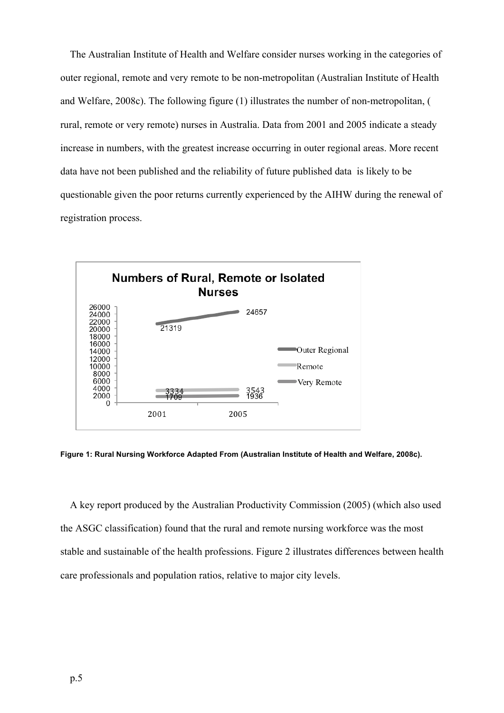The Australian Institute of Health and Welfare consider nurses working in the categories of outer regional, remote and very remote to be non-metropolitan (Australian Institute of Health and Welfare, 2008c). The following figure (1) illustrates the number of non-metropolitan, ( rural, remote or very remote) nurses in Australia. Data from 2001 and 2005 indicate a steady increase in numbers, with the greatest increase occurring in outer regional areas. More recent data have not been published and the reliability of future published data is likely to be questionable given the poor returns currently experienced by the AIHW during the renewal of registration process.



**Figure 1: Rural Nursing Workforce Adapted From (Australian Institute of Health and Welfare, 2008c).**

A key report produced by the Australian Productivity Commission (2005) (which also used the ASGC classification) found that the rural and remote nursing workforce was the most stable and sustainable of the health professions. Figure 2 illustrates differences between health care professionals and population ratios, relative to major city levels.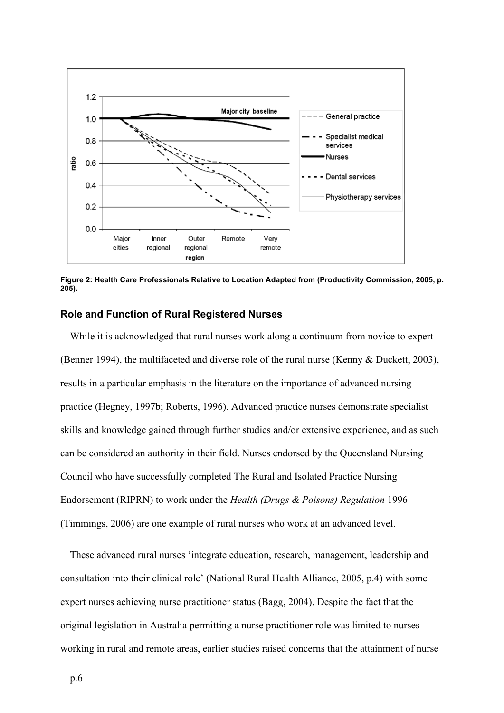

**Figure 2: Health Care Professionals Relative to Location Adapted from (Productivity Commission, 2005, p. 205).**

#### **Role and Function of Rural Registered Nurses**

While it is acknowledged that rural nurses work along a continuum from novice to expert (Benner 1994), the multifaceted and diverse role of the rural nurse (Kenny & Duckett, 2003), results in a particular emphasis in the literature on the importance of advanced nursing practice (Hegney, 1997b; Roberts, 1996). Advanced practice nurses demonstrate specialist skills and knowledge gained through further studies and/or extensive experience, and as such can be considered an authority in their field. Nurses endorsed by the Queensland Nursing Council who have successfully completed The Rural and Isolated Practice Nursing Endorsement (RIPRN) to work under the *Health (Drugs & Poisons) Regulation* 1996 (Timmings, 2006) are one example of rural nurses who work at an advanced level.

These advanced rural nurses 'integrate education, research, management, leadership and consultation into their clinical role' (National Rural Health Alliance, 2005, p.4) with some expert nurses achieving nurse practitioner status (Bagg, 2004). Despite the fact that the original legislation in Australia permitting a nurse practitioner role was limited to nurses working in rural and remote areas, earlier studies raised concerns that the attainment of nurse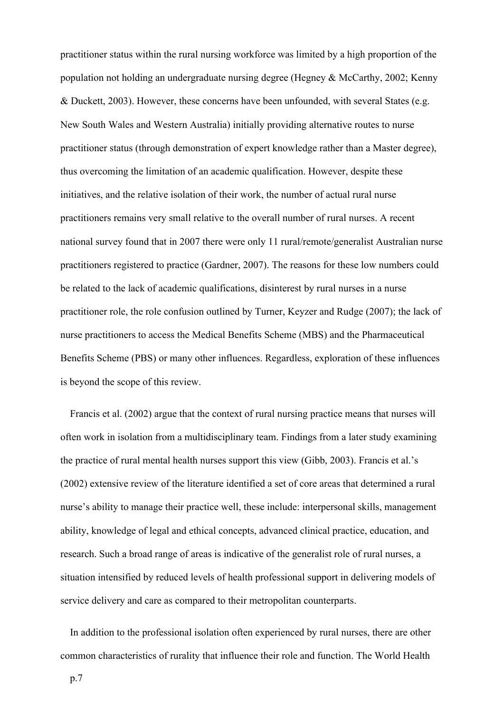practitioner status within the rural nursing workforce was limited by a high proportion of the population not holding an undergraduate nursing degree (Hegney & McCarthy, 2002; Kenny & Duckett, 2003). However, these concerns have been unfounded, with several States (e.g. New South Wales and Western Australia) initially providing alternative routes to nurse practitioner status (through demonstration of expert knowledge rather than a Master degree), thus overcoming the limitation of an academic qualification. However, despite these initiatives, and the relative isolation of their work, the number of actual rural nurse practitioners remains very small relative to the overall number of rural nurses. A recent national survey found that in 2007 there were only 11 rural/remote/generalist Australian nurse practitioners registered to practice (Gardner, 2007). The reasons for these low numbers could be related to the lack of academic qualifications, disinterest by rural nurses in a nurse practitioner role, the role confusion outlined by Turner, Keyzer and Rudge (2007); the lack of nurse practitioners to access the Medical Benefits Scheme (MBS) and the Pharmaceutical Benefits Scheme (PBS) or many other influences. Regardless, exploration of these influences is beyond the scope of this review.

Francis et al. (2002) argue that the context of rural nursing practice means that nurses will often work in isolation from a multidisciplinary team. Findings from a later study examining the practice of rural mental health nurses support this view (Gibb, 2003). Francis et al.'s (2002) extensive review of the literature identified a set of core areas that determined a rural nurse's ability to manage their practice well, these include: interpersonal skills, management ability, knowledge of legal and ethical concepts, advanced clinical practice, education, and research. Such a broad range of areas is indicative of the generalist role of rural nurses, a situation intensified by reduced levels of health professional support in delivering models of service delivery and care as compared to their metropolitan counterparts.

In addition to the professional isolation often experienced by rural nurses, there are other common characteristics of rurality that influence their role and function. The World Health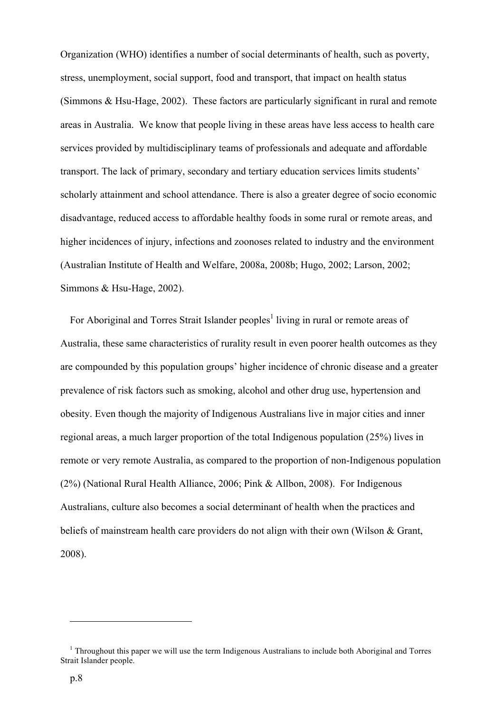Organization (WHO) identifies a number of social determinants of health, such as poverty, stress, unemployment, social support, food and transport, that impact on health status (Simmons & Hsu-Hage, 2002). These factors are particularly significant in rural and remote areas in Australia. We know that people living in these areas have less access to health care services provided by multidisciplinary teams of professionals and adequate and affordable transport. The lack of primary, secondary and tertiary education services limits students' scholarly attainment and school attendance. There is also a greater degree of socio economic disadvantage, reduced access to affordable healthy foods in some rural or remote areas, and higher incidences of injury, infections and zoonoses related to industry and the environment (Australian Institute of Health and Welfare, 2008a, 2008b; Hugo, 2002; Larson, 2002; Simmons & Hsu-Hage, 2002).

For Aboriginal and Torres Strait Islander peoples<sup>1</sup> living in rural or remote areas of Australia, these same characteristics of rurality result in even poorer health outcomes as they are compounded by this population groups' higher incidence of chronic disease and a greater prevalence of risk factors such as smoking, alcohol and other drug use, hypertension and obesity. Even though the majority of Indigenous Australians live in major cities and inner regional areas, a much larger proportion of the total Indigenous population (25%) lives in remote or very remote Australia, as compared to the proportion of non-Indigenous population (2%) (National Rural Health Alliance, 2006; Pink & Allbon, 2008). For Indigenous Australians, culture also becomes a social determinant of health when the practices and beliefs of mainstream health care providers do not align with their own (Wilson & Grant, 2008).

 $\overline{a}$ 

<sup>&</sup>lt;sup>1</sup> Throughout this paper we will use the term Indigenous Australians to include both Aboriginal and Torres Strait Islander people.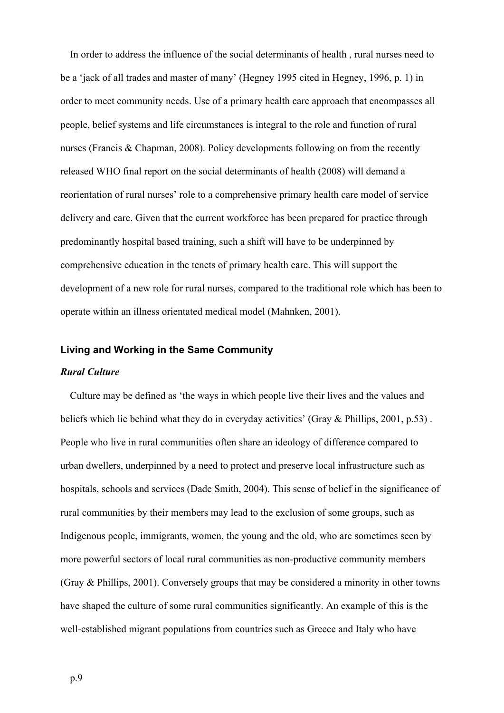In order to address the influence of the social determinants of health , rural nurses need to be a 'jack of all trades and master of many' (Hegney 1995 cited in Hegney, 1996, p. 1) in order to meet community needs. Use of a primary health care approach that encompasses all people, belief systems and life circumstances is integral to the role and function of rural nurses (Francis & Chapman, 2008). Policy developments following on from the recently released WHO final report on the social determinants of health (2008) will demand a reorientation of rural nurses' role to a comprehensive primary health care model of service delivery and care. Given that the current workforce has been prepared for practice through predominantly hospital based training, such a shift will have to be underpinned by comprehensive education in the tenets of primary health care. This will support the development of a new role for rural nurses, compared to the traditional role which has been to operate within an illness orientated medical model (Mahnken, 2001).

## **Living and Working in the Same Community**

#### *Rural Culture*

Culture may be defined as 'the ways in which people live their lives and the values and beliefs which lie behind what they do in everyday activities' (Gray & Phillips, 2001, p.53) . People who live in rural communities often share an ideology of difference compared to urban dwellers, underpinned by a need to protect and preserve local infrastructure such as hospitals, schools and services (Dade Smith, 2004). This sense of belief in the significance of rural communities by their members may lead to the exclusion of some groups, such as Indigenous people, immigrants, women, the young and the old, who are sometimes seen by more powerful sectors of local rural communities as non-productive community members (Gray & Phillips, 2001). Conversely groups that may be considered a minority in other towns have shaped the culture of some rural communities significantly. An example of this is the well-established migrant populations from countries such as Greece and Italy who have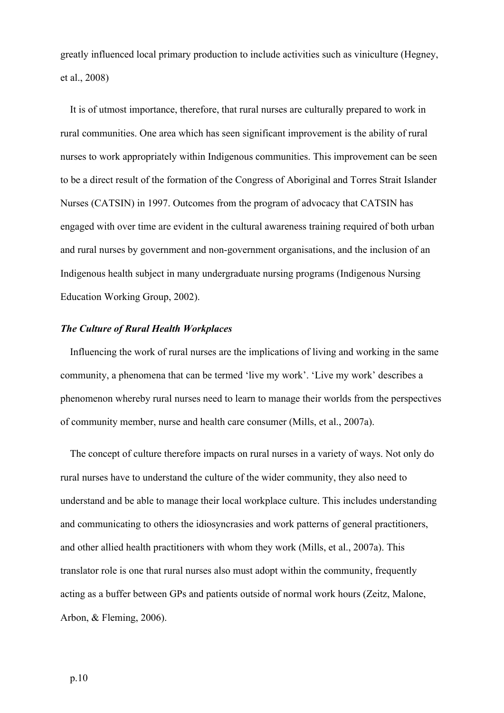greatly influenced local primary production to include activities such as viniculture (Hegney, et al., 2008)

It is of utmost importance, therefore, that rural nurses are culturally prepared to work in rural communities. One area which has seen significant improvement is the ability of rural nurses to work appropriately within Indigenous communities. This improvement can be seen to be a direct result of the formation of the Congress of Aboriginal and Torres Strait Islander Nurses (CATSIN) in 1997. Outcomes from the program of advocacy that CATSIN has engaged with over time are evident in the cultural awareness training required of both urban and rural nurses by government and non-government organisations, and the inclusion of an Indigenous health subject in many undergraduate nursing programs (Indigenous Nursing Education Working Group, 2002).

## *The Culture of Rural Health Workplaces*

Influencing the work of rural nurses are the implications of living and working in the same community, a phenomena that can be termed 'live my work'. 'Live my work' describes a phenomenon whereby rural nurses need to learn to manage their worlds from the perspectives of community member, nurse and health care consumer (Mills, et al., 2007a).

The concept of culture therefore impacts on rural nurses in a variety of ways. Not only do rural nurses have to understand the culture of the wider community, they also need to understand and be able to manage their local workplace culture. This includes understanding and communicating to others the idiosyncrasies and work patterns of general practitioners, and other allied health practitioners with whom they work (Mills, et al., 2007a). This translator role is one that rural nurses also must adopt within the community, frequently acting as a buffer between GPs and patients outside of normal work hours (Zeitz, Malone, Arbon, & Fleming, 2006).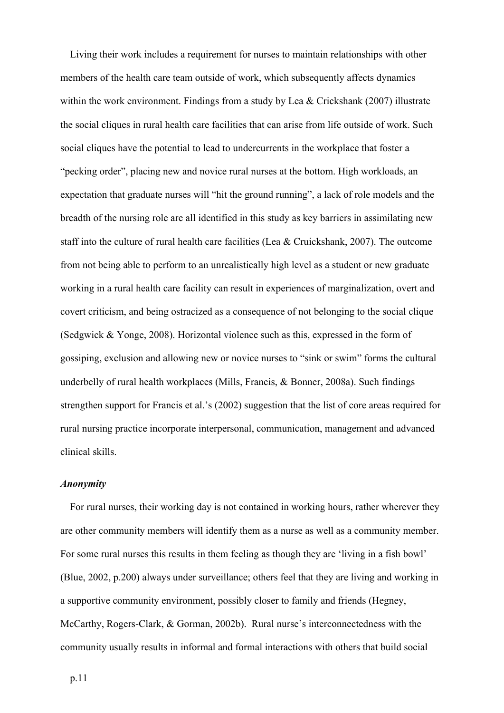Living their work includes a requirement for nurses to maintain relationships with other members of the health care team outside of work, which subsequently affects dynamics within the work environment. Findings from a study by Lea & Crickshank (2007) illustrate the social cliques in rural health care facilities that can arise from life outside of work. Such social cliques have the potential to lead to undercurrents in the workplace that foster a "pecking order", placing new and novice rural nurses at the bottom. High workloads, an expectation that graduate nurses will "hit the ground running", a lack of role models and the breadth of the nursing role are all identified in this study as key barriers in assimilating new staff into the culture of rural health care facilities (Lea & Cruickshank, 2007). The outcome from not being able to perform to an unrealistically high level as a student or new graduate working in a rural health care facility can result in experiences of marginalization, overt and covert criticism, and being ostracized as a consequence of not belonging to the social clique (Sedgwick & Yonge, 2008). Horizontal violence such as this, expressed in the form of gossiping, exclusion and allowing new or novice nurses to "sink or swim" forms the cultural underbelly of rural health workplaces (Mills, Francis, & Bonner, 2008a). Such findings strengthen support for Francis et al.'s (2002) suggestion that the list of core areas required for rural nursing practice incorporate interpersonal, communication, management and advanced clinical skills.

#### *Anonymity*

For rural nurses, their working day is not contained in working hours, rather wherever they are other community members will identify them as a nurse as well as a community member. For some rural nurses this results in them feeling as though they are 'living in a fish bowl' (Blue, 2002, p.200) always under surveillance; others feel that they are living and working in a supportive community environment, possibly closer to family and friends (Hegney, McCarthy, Rogers-Clark, & Gorman, 2002b). Rural nurse's interconnectedness with the community usually results in informal and formal interactions with others that build social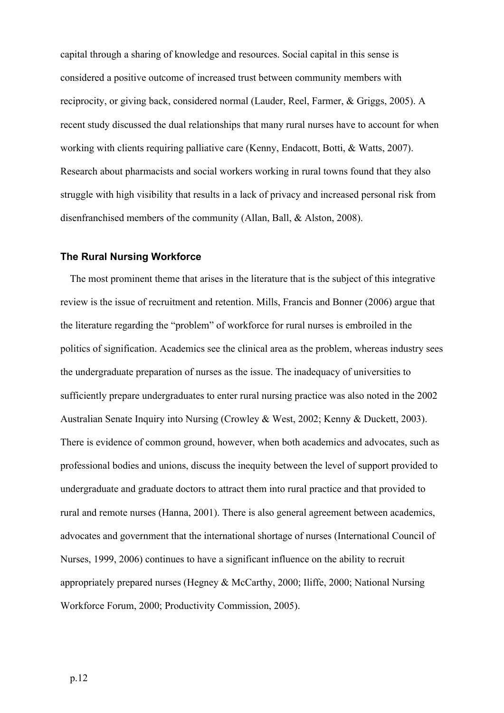capital through a sharing of knowledge and resources. Social capital in this sense is considered a positive outcome of increased trust between community members with reciprocity, or giving back, considered normal (Lauder, Reel, Farmer, & Griggs, 2005). A recent study discussed the dual relationships that many rural nurses have to account for when working with clients requiring palliative care (Kenny, Endacott, Botti, & Watts, 2007). Research about pharmacists and social workers working in rural towns found that they also struggle with high visibility that results in a lack of privacy and increased personal risk from disenfranchised members of the community (Allan, Ball, & Alston, 2008).

## **The Rural Nursing Workforce**

The most prominent theme that arises in the literature that is the subject of this integrative review is the issue of recruitment and retention. Mills, Francis and Bonner (2006) argue that the literature regarding the "problem" of workforce for rural nurses is embroiled in the politics of signification. Academics see the clinical area as the problem, whereas industry sees the undergraduate preparation of nurses as the issue. The inadequacy of universities to sufficiently prepare undergraduates to enter rural nursing practice was also noted in the 2002 Australian Senate Inquiry into Nursing (Crowley & West, 2002; Kenny & Duckett, 2003). There is evidence of common ground, however, when both academics and advocates, such as professional bodies and unions, discuss the inequity between the level of support provided to undergraduate and graduate doctors to attract them into rural practice and that provided to rural and remote nurses (Hanna, 2001). There is also general agreement between academics, advocates and government that the international shortage of nurses (International Council of Nurses, 1999, 2006) continues to have a significant influence on the ability to recruit appropriately prepared nurses (Hegney & McCarthy, 2000; Iliffe, 2000; National Nursing Workforce Forum, 2000; Productivity Commission, 2005).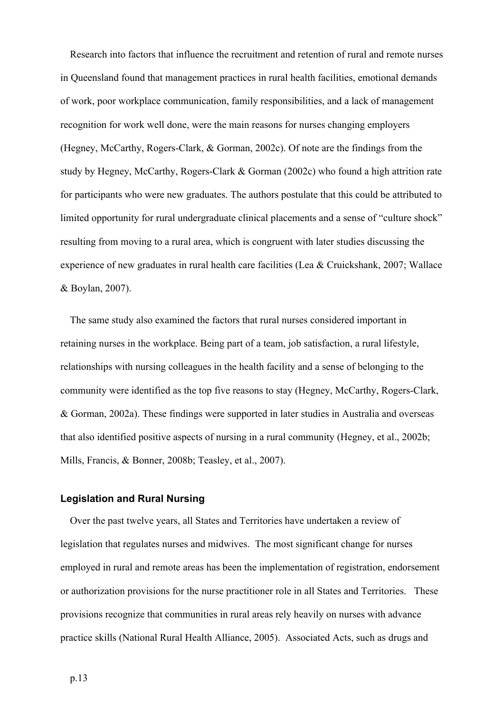Research into factors that influence the recruitment and retention of rural and remote nurses in Queensland found that management practices in rural health facilities, emotional demands of work, poor workplace communication, family responsibilities, and a lack of management recognition for work well done, were the main reasons for nurses changing employers (Hegney, McCarthy, Rogers-Clark, & Gorman, 2002c). Of note are the findings from the study by Hegney, McCarthy, Rogers-Clark & Gorman (2002c) who found a high attrition rate for participants who were new graduates. The authors postulate that this could be attributed to limited opportunity for rural undergraduate clinical placements and a sense of "culture shock" resulting from moving to a rural area, which is congruent with later studies discussing the experience of new graduates in rural health care facilities (Lea & Cruickshank, 2007; Wallace & Boylan, 2007).

The same study also examined the factors that rural nurses considered important in retaining nurses in the workplace. Being part of a team, job satisfaction, a rural lifestyle, relationships with nursing colleagues in the health facility and a sense of belonging to the community were identified as the top five reasons to stay (Hegney, McCarthy, Rogers-Clark, & Gorman, 2002a). These findings were supported in later studies in Australia and overseas that also identified positive aspects of nursing in a rural community (Hegney, et al., 2002b; Mills, Francis, & Bonner, 2008b; Teasley, et al., 2007).

## **Legislation and Rural Nursing**

Over the past twelve years, all States and Territories have undertaken a review of legislation that regulates nurses and midwives. The most significant change for nurses employed in rural and remote areas has been the implementation of registration, endorsement or authorization provisions for the nurse practitioner role in all States and Territories. These provisions recognize that communities in rural areas rely heavily on nurses with advance practice skills (National Rural Health Alliance, 2005). Associated Acts, such as drugs and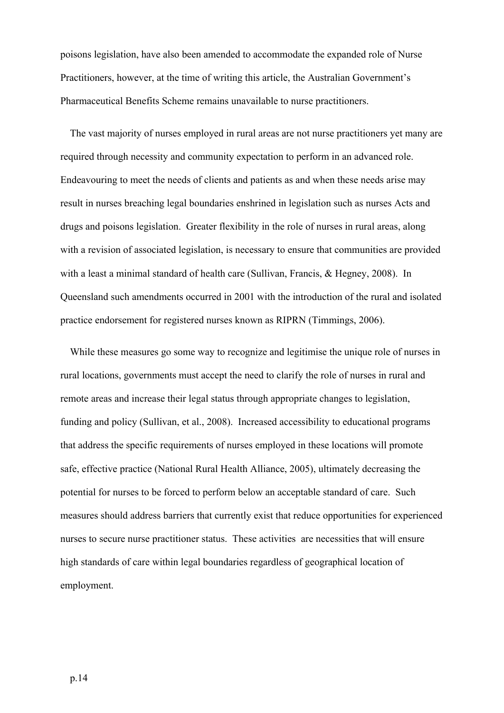poisons legislation, have also been amended to accommodate the expanded role of Nurse Practitioners, however, at the time of writing this article, the Australian Government's Pharmaceutical Benefits Scheme remains unavailable to nurse practitioners.

The vast majority of nurses employed in rural areas are not nurse practitioners yet many are required through necessity and community expectation to perform in an advanced role. Endeavouring to meet the needs of clients and patients as and when these needs arise may result in nurses breaching legal boundaries enshrined in legislation such as nurses Acts and drugs and poisons legislation. Greater flexibility in the role of nurses in rural areas, along with a revision of associated legislation, is necessary to ensure that communities are provided with a least a minimal standard of health care (Sullivan, Francis, & Hegney, 2008). In Queensland such amendments occurred in 2001 with the introduction of the rural and isolated practice endorsement for registered nurses known as RIPRN (Timmings, 2006).

While these measures go some way to recognize and legitimise the unique role of nurses in rural locations, governments must accept the need to clarify the role of nurses in rural and remote areas and increase their legal status through appropriate changes to legislation, funding and policy (Sullivan, et al., 2008). Increased accessibility to educational programs that address the specific requirements of nurses employed in these locations will promote safe, effective practice (National Rural Health Alliance, 2005), ultimately decreasing the potential for nurses to be forced to perform below an acceptable standard of care. Such measures should address barriers that currently exist that reduce opportunities for experienced nurses to secure nurse practitioner status. These activities are necessities that will ensure high standards of care within legal boundaries regardless of geographical location of employment.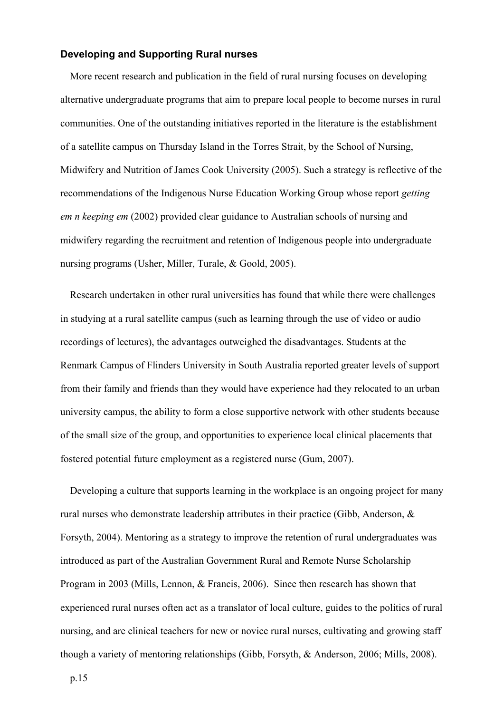## **Developing and Supporting Rural nurses**

More recent research and publication in the field of rural nursing focuses on developing alternative undergraduate programs that aim to prepare local people to become nurses in rural communities. One of the outstanding initiatives reported in the literature is the establishment of a satellite campus on Thursday Island in the Torres Strait, by the School of Nursing, Midwifery and Nutrition of James Cook University (2005). Such a strategy is reflective of the recommendations of the Indigenous Nurse Education Working Group whose report *getting em n keeping em* (2002) provided clear guidance to Australian schools of nursing and midwifery regarding the recruitment and retention of Indigenous people into undergraduate nursing programs (Usher, Miller, Turale, & Goold, 2005).

Research undertaken in other rural universities has found that while there were challenges in studying at a rural satellite campus (such as learning through the use of video or audio recordings of lectures), the advantages outweighed the disadvantages. Students at the Renmark Campus of Flinders University in South Australia reported greater levels of support from their family and friends than they would have experience had they relocated to an urban university campus, the ability to form a close supportive network with other students because of the small size of the group, and opportunities to experience local clinical placements that fostered potential future employment as a registered nurse (Gum, 2007).

Developing a culture that supports learning in the workplace is an ongoing project for many rural nurses who demonstrate leadership attributes in their practice (Gibb, Anderson, & Forsyth, 2004). Mentoring as a strategy to improve the retention of rural undergraduates was introduced as part of the Australian Government Rural and Remote Nurse Scholarship Program in 2003 (Mills, Lennon, & Francis, 2006). Since then research has shown that experienced rural nurses often act as a translator of local culture, guides to the politics of rural nursing, and are clinical teachers for new or novice rural nurses, cultivating and growing staff though a variety of mentoring relationships (Gibb, Forsyth, & Anderson, 2006; Mills, 2008).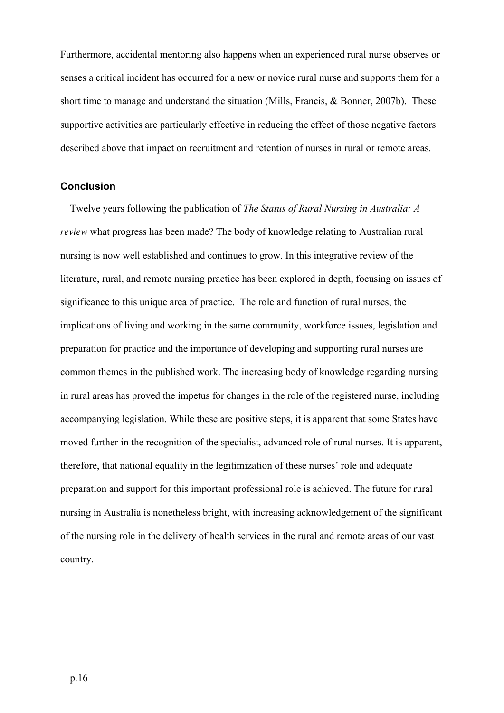Furthermore, accidental mentoring also happens when an experienced rural nurse observes or senses a critical incident has occurred for a new or novice rural nurse and supports them for a short time to manage and understand the situation (Mills, Francis, & Bonner, 2007b). These supportive activities are particularly effective in reducing the effect of those negative factors described above that impact on recruitment and retention of nurses in rural or remote areas.

#### **Conclusion**

Twelve years following the publication of *The Status of Rural Nursing in Australia: A review* what progress has been made? The body of knowledge relating to Australian rural nursing is now well established and continues to grow. In this integrative review of the literature, rural, and remote nursing practice has been explored in depth, focusing on issues of significance to this unique area of practice. The role and function of rural nurses, the implications of living and working in the same community, workforce issues, legislation and preparation for practice and the importance of developing and supporting rural nurses are common themes in the published work. The increasing body of knowledge regarding nursing in rural areas has proved the impetus for changes in the role of the registered nurse, including accompanying legislation. While these are positive steps, it is apparent that some States have moved further in the recognition of the specialist, advanced role of rural nurses. It is apparent, therefore, that national equality in the legitimization of these nurses' role and adequate preparation and support for this important professional role is achieved. The future for rural nursing in Australia is nonetheless bright, with increasing acknowledgement of the significant of the nursing role in the delivery of health services in the rural and remote areas of our vast country.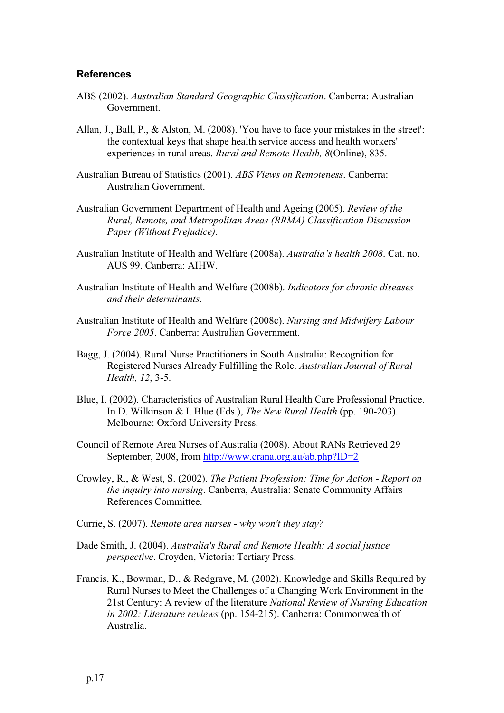#### **References**

- ABS (2002). *Australian Standard Geographic Classification*. Canberra: Australian Government.
- Allan, J., Ball, P., & Alston, M. (2008). 'You have to face your mistakes in the street': the contextual keys that shape health service access and health workers' experiences in rural areas. *Rural and Remote Health, 8*(Online), 835.
- Australian Bureau of Statistics (2001). *ABS Views on Remoteness*. Canberra: Australian Government.
- Australian Government Department of Health and Ageing (2005). *Review of the Rural, Remote, and Metropolitan Areas (RRMA) Classification Discussion Paper (Without Prejudice)*.
- Australian Institute of Health and Welfare (2008a). *Australia's health 2008*. Cat. no. AUS 99. Canberra: AIHW.
- Australian Institute of Health and Welfare (2008b). *Indicators for chronic diseases and their determinants*.
- Australian Institute of Health and Welfare (2008c). *Nursing and Midwifery Labour Force 2005*. Canberra: Australian Government.
- Bagg, J. (2004). Rural Nurse Practitioners in South Australia: Recognition for Registered Nurses Already Fulfilling the Role. *Australian Journal of Rural Health, 12*, 3-5.
- Blue, I. (2002). Characteristics of Australian Rural Health Care Professional Practice. In D. Wilkinson & I. Blue (Eds.), *The New Rural Health* (pp. 190-203). Melbourne: Oxford University Press.
- Council of Remote Area Nurses of Australia (2008). About RANs Retrieved 29 September, 2008, from http://www.crana.org.au/ab.php?ID=2
- Crowley, R., & West, S. (2002). *The Patient Profession: Time for Action - Report on the inquiry into nursing*. Canberra, Australia: Senate Community Affairs References Committee.
- Currie, S. (2007). *Remote area nurses - why won't they stay?*
- Dade Smith, J. (2004). *Australia's Rural and Remote Health: A social justice perspective*. Croyden, Victoria: Tertiary Press.
- Francis, K., Bowman, D., & Redgrave, M. (2002). Knowledge and Skills Required by Rural Nurses to Meet the Challenges of a Changing Work Environment in the 21st Century: A review of the literature *National Review of Nursing Education in 2002: Literature reviews* (pp. 154-215). Canberra: Commonwealth of Australia.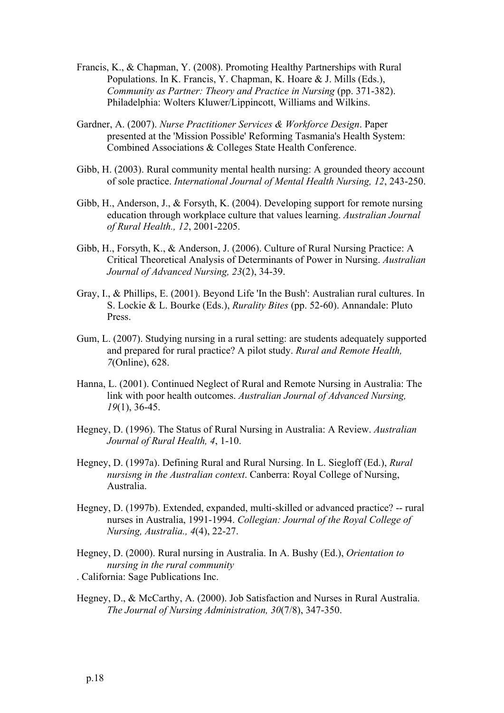- Francis, K., & Chapman, Y. (2008). Promoting Healthy Partnerships with Rural Populations. In K. Francis, Y. Chapman, K. Hoare & J. Mills (Eds.), *Community as Partner: Theory and Practice in Nursing (pp. 371-382).* Philadelphia: Wolters Kluwer/Lippincott, Williams and Wilkins.
- Gardner, A. (2007). *Nurse Practitioner Services & Workforce Design*. Paper presented at the 'Mission Possible' Reforming Tasmania's Health System: Combined Associations & Colleges State Health Conference.
- Gibb, H. (2003). Rural community mental health nursing: A grounded theory account of sole practice. *International Journal of Mental Health Nursing, 12*, 243-250.
- Gibb, H., Anderson, J., & Forsyth, K. (2004). Developing support for remote nursing education through workplace culture that values learning. *Australian Journal of Rural Health., 12*, 2001-2205.
- Gibb, H., Forsyth, K., & Anderson, J. (2006). Culture of Rural Nursing Practice: A Critical Theoretical Analysis of Determinants of Power in Nursing. *Australian Journal of Advanced Nursing, 23*(2), 34-39.
- Gray, I., & Phillips, E. (2001). Beyond Life 'In the Bush': Australian rural cultures. In S. Lockie & L. Bourke (Eds.), *Rurality Bites* (pp. 52-60). Annandale: Pluto Press.
- Gum, L. (2007). Studying nursing in a rural setting: are students adequately supported and prepared for rural practice? A pilot study. *Rural and Remote Health, 7*(Online), 628.
- Hanna, L. (2001). Continued Neglect of Rural and Remote Nursing in Australia: The link with poor health outcomes. *Australian Journal of Advanced Nursing, 19*(1), 36-45.
- Hegney, D. (1996). The Status of Rural Nursing in Australia: A Review. *Australian Journal of Rural Health, 4*, 1-10.
- Hegney, D. (1997a). Defining Rural and Rural Nursing. In L. Siegloff (Ed.), *Rural nursisng in the Australian context*. Canberra: Royal College of Nursing, Australia.
- Hegney, D. (1997b). Extended, expanded, multi-skilled or advanced practice? -- rural nurses in Australia, 1991-1994. *Collegian: Journal of the Royal College of Nursing, Australia., 4*(4), 22-27.

Hegney, D. (2000). Rural nursing in Australia. In A. Bushy (Ed.), *Orientation to nursing in the rural community* . California: Sage Publications Inc.

Hegney, D., & McCarthy, A. (2000). Job Satisfaction and Nurses in Rural Australia. *The Journal of Nursing Administration, 30*(7/8), 347-350.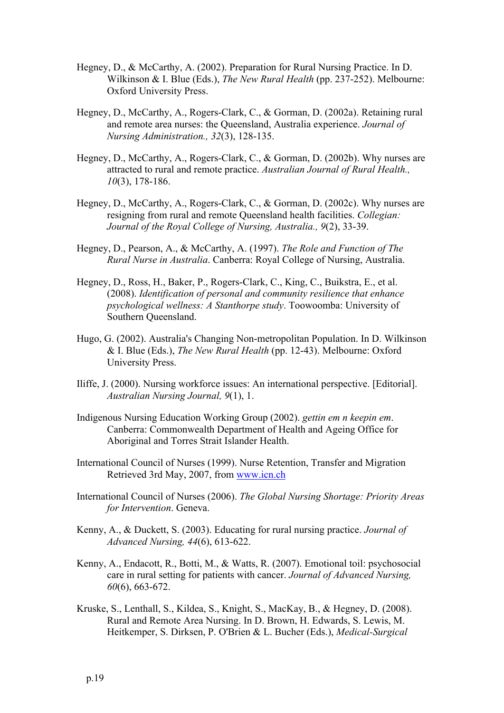- Hegney, D., & McCarthy, A. (2002). Preparation for Rural Nursing Practice. In D. Wilkinson & I. Blue (Eds.), *The New Rural Health* (pp. 237-252). Melbourne: Oxford University Press.
- Hegney, D., McCarthy, A., Rogers-Clark, C., & Gorman, D. (2002a). Retaining rural and remote area nurses: the Queensland, Australia experience. *Journal of Nursing Administration., 32*(3), 128-135.
- Hegney, D., McCarthy, A., Rogers-Clark, C., & Gorman, D. (2002b). Why nurses are attracted to rural and remote practice. *Australian Journal of Rural Health., 10*(3), 178-186.
- Hegney, D., McCarthy, A., Rogers-Clark, C., & Gorman, D. (2002c). Why nurses are resigning from rural and remote Queensland health facilities. *Collegian: Journal of the Royal College of Nursing, Australia., 9*(2), 33-39.
- Hegney, D., Pearson, A., & McCarthy, A. (1997). *The Role and Function of The Rural Nurse in Australia*. Canberra: Royal College of Nursing, Australia.
- Hegney, D., Ross, H., Baker, P., Rogers-Clark, C., King, C., Buikstra, E., et al. (2008). *Identification of personal and community resilience that enhance psychological wellness: A Stanthorpe study*. Toowoomba: University of Southern Queensland.
- Hugo, G. (2002). Australia's Changing Non-metropolitan Population. In D. Wilkinson & I. Blue (Eds.), *The New Rural Health* (pp. 12-43). Melbourne: Oxford University Press.
- Iliffe, J. (2000). Nursing workforce issues: An international perspective. [Editorial]. *Australian Nursing Journal, 9*(1), 1.
- Indigenous Nursing Education Working Group (2002). *gettin em n keepin em*. Canberra: Commonwealth Department of Health and Ageing Office for Aboriginal and Torres Strait Islander Health.
- International Council of Nurses (1999). Nurse Retention, Transfer and Migration Retrieved 3rd May, 2007, from www.icn.ch
- International Council of Nurses (2006). *The Global Nursing Shortage: Priority Areas for Intervention*. Geneva.
- Kenny, A., & Duckett, S. (2003). Educating for rural nursing practice. *Journal of Advanced Nursing, 44*(6), 613-622.
- Kenny, A., Endacott, R., Botti, M., & Watts, R. (2007). Emotional toil: psychosocial care in rural setting for patients with cancer. *Journal of Advanced Nursing, 60*(6), 663-672.
- Kruske, S., Lenthall, S., Kildea, S., Knight, S., MacKay, B., & Hegney, D. (2008). Rural and Remote Area Nursing. In D. Brown, H. Edwards, S. Lewis, M. Heitkemper, S. Dirksen, P. O'Brien & L. Bucher (Eds.), *Medical-Surgical*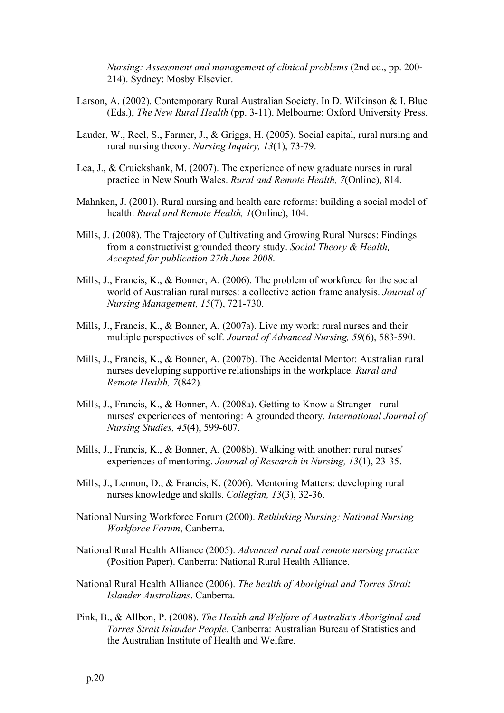*Nursing: Assessment and management of clinical problems* (2nd ed., pp. 200- 214). Sydney: Mosby Elsevier.

- Larson, A. (2002). Contemporary Rural Australian Society. In D. Wilkinson & I. Blue (Eds.), *The New Rural Health* (pp. 3-11). Melbourne: Oxford University Press.
- Lauder, W., Reel, S., Farmer, J., & Griggs, H. (2005). Social capital, rural nursing and rural nursing theory. *Nursing Inquiry, 13*(1), 73-79.
- Lea, J., & Cruickshank, M. (2007). The experience of new graduate nurses in rural practice in New South Wales. *Rural and Remote Health, 7*(Online), 814.
- Mahnken, J. (2001). Rural nursing and health care reforms: building a social model of health. *Rural and Remote Health, 1*(Online), 104.
- Mills, J. (2008). The Trajectory of Cultivating and Growing Rural Nurses: Findings from a constructivist grounded theory study. *Social Theory & Health, Accepted for publication 27th June 2008*.
- Mills, J., Francis, K., & Bonner, A. (2006). The problem of workforce for the social world of Australian rural nurses: a collective action frame analysis. *Journal of Nursing Management, 15*(7), 721-730.
- Mills, J., Francis, K., & Bonner, A. (2007a). Live my work: rural nurses and their multiple perspectives of self. *Journal of Advanced Nursing, 59*(6), 583-590.
- Mills, J., Francis, K., & Bonner, A. (2007b). The Accidental Mentor: Australian rural nurses developing supportive relationships in the workplace. *Rural and Remote Health, 7*(842).
- Mills, J., Francis, K., & Bonner, A. (2008a). Getting to Know a Stranger rural nurses' experiences of mentoring: A grounded theory. *International Journal of Nursing Studies, 45*(**4**), 599-607.
- Mills, J., Francis, K., & Bonner, A. (2008b). Walking with another: rural nurses' experiences of mentoring. *Journal of Research in Nursing, 13*(1), 23-35.
- Mills, J., Lennon, D., & Francis, K. (2006). Mentoring Matters: developing rural nurses knowledge and skills. *Collegian, 13*(3), 32-36.
- National Nursing Workforce Forum (2000). *Rethinking Nursing: National Nursing Workforce Forum*, Canberra.
- National Rural Health Alliance (2005). *Advanced rural and remote nursing practice* (Position Paper). Canberra: National Rural Health Alliance.
- National Rural Health Alliance (2006). *The health of Aboriginal and Torres Strait Islander Australians*. Canberra.
- Pink, B., & Allbon, P. (2008). *The Health and Welfare of Australia's Aboriginal and Torres Strait Islander People*. Canberra: Australian Bureau of Statistics and the Australian Institute of Health and Welfare.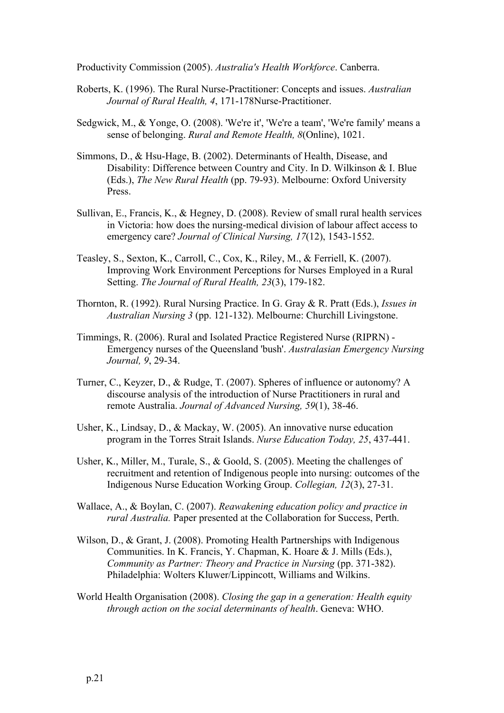Productivity Commission (2005). *Australia's Health Workforce*. Canberra.

- Roberts, K. (1996). The Rural Nurse-Practitioner: Concepts and issues. *Australian Journal of Rural Health, 4*, 171-178Nurse-Practitioner.
- Sedgwick, M., & Yonge, O. (2008). 'We're it', 'We're a team', 'We're family' means a sense of belonging. *Rural and Remote Health, 8*(Online), 1021.
- Simmons, D., & Hsu-Hage, B. (2002). Determinants of Health, Disease, and Disability: Difference between Country and City. In D. Wilkinson & I. Blue (Eds.), *The New Rural Health* (pp. 79-93). Melbourne: Oxford University Press.
- Sullivan, E., Francis, K., & Hegney, D. (2008). Review of small rural health services in Victoria: how does the nursing-medical division of labour affect access to emergency care? *Journal of Clinical Nursing, 17*(12), 1543-1552.
- Teasley, S., Sexton, K., Carroll, C., Cox, K., Riley, M., & Ferriell, K. (2007). Improving Work Environment Perceptions for Nurses Employed in a Rural Setting. *The Journal of Rural Health, 23*(3), 179-182.
- Thornton, R. (1992). Rural Nursing Practice. In G. Gray & R. Pratt (Eds.), *Issues in Australian Nursing 3* (pp. 121-132). Melbourne: Churchill Livingstone.
- Timmings, R. (2006). Rural and Isolated Practice Registered Nurse (RIPRN) Emergency nurses of the Queensland 'bush'. *Australasian Emergency Nursing Journal, 9*, 29-34.
- Turner, C., Keyzer, D., & Rudge, T. (2007). Spheres of influence or autonomy? A discourse analysis of the introduction of Nurse Practitioners in rural and remote Australia. *Journal of Advanced Nursing, 59*(1), 38-46.
- Usher, K., Lindsay, D., & Mackay, W. (2005). An innovative nurse education program in the Torres Strait Islands. *Nurse Education Today, 25*, 437-441.
- Usher, K., Miller, M., Turale, S., & Goold, S. (2005). Meeting the challenges of recruitment and retention of Indigenous people into nursing: outcomes of the Indigenous Nurse Education Working Group. *Collegian, 12*(3), 27-31.
- Wallace, A., & Boylan, C. (2007). *Reawakening education policy and practice in rural Australia.* Paper presented at the Collaboration for Success, Perth.
- Wilson, D., & Grant, J. (2008). Promoting Health Partnerships with Indigenous Communities. In K. Francis, Y. Chapman, K. Hoare & J. Mills (Eds.), *Community as Partner: Theory and Practice in Nursing (pp. 371-382).* Philadelphia: Wolters Kluwer/Lippincott, Williams and Wilkins.
- World Health Organisation (2008). *Closing the gap in a generation: Health equity through action on the social determinants of health*. Geneva: WHO.